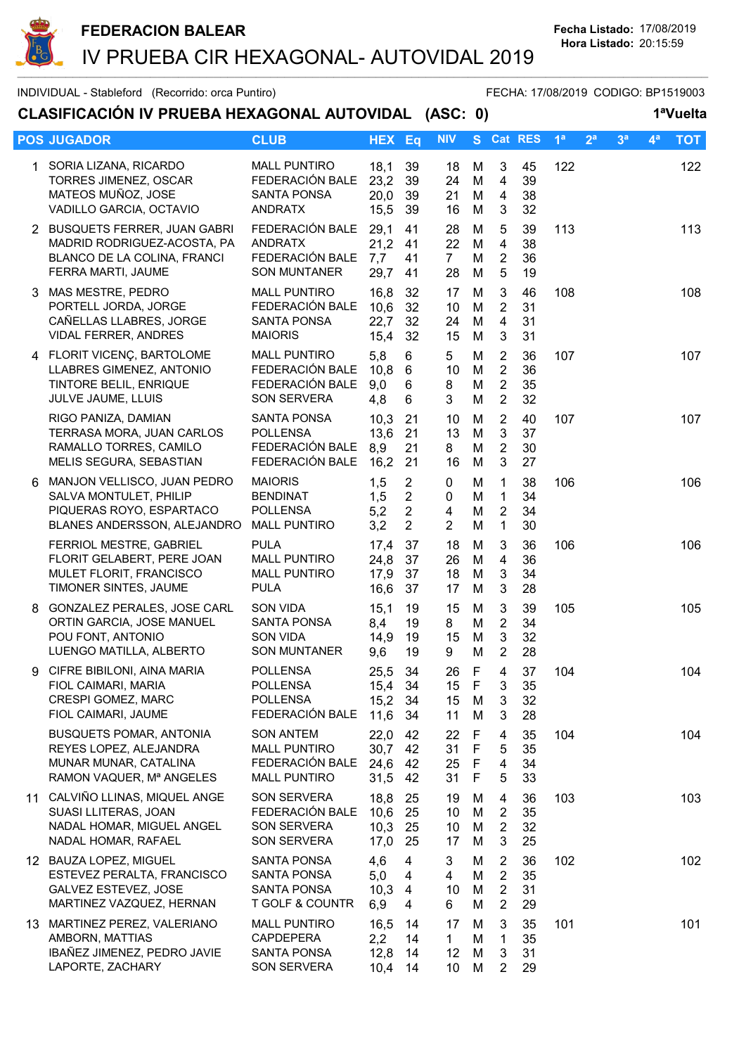

INDIVIDUAL - Stableford (Recorrido: orca Puntiro) FECHA: 17/08/2019 CODIGO: BP1519003

| CLASIFICACIÓN IV PRUEBA HEXAGONAL AUTOVIDAL (ASC: 0) |                                                                                                                   |                                                                                   |                              |                                                                      |                                  |                                      |                                                                      |                      |                |                |                |                | 1ªVuelta   |  |
|------------------------------------------------------|-------------------------------------------------------------------------------------------------------------------|-----------------------------------------------------------------------------------|------------------------------|----------------------------------------------------------------------|----------------------------------|--------------------------------------|----------------------------------------------------------------------|----------------------|----------------|----------------|----------------|----------------|------------|--|
|                                                      | <b>POS JUGADOR</b>                                                                                                | <b>CLUB</b>                                                                       | <b>HEX Eq</b>                |                                                                      | <b>NIV</b>                       | S                                    |                                                                      | Cat RES              | 1 <sup>a</sup> | 2 <sup>a</sup> | 3 <sup>a</sup> | 4 <sup>a</sup> | <b>TOT</b> |  |
|                                                      | 1 SORIA LIZANA, RICARDO<br>TORRES JIMENEZ, OSCAR<br>MATEOS MUÑOZ, JOSE<br>VADILLO GARCIA, OCTAVIO                 | <b>MALL PUNTIRO</b><br>FEDERACIÓN BALE<br><b>SANTA PONSA</b><br><b>ANDRATX</b>    | 18,1<br>23,2<br>20,0<br>15,5 | 39<br>39<br>39<br>39                                                 | 18<br>24<br>21<br>16             | M<br>M<br>M<br>M                     | 3<br>4<br>$\overline{4}$<br>3                                        | 45<br>39<br>38<br>32 | 122            |                |                |                | 122        |  |
|                                                      | 2 BUSQUETS FERRER, JUAN GABRI<br>MADRID RODRIGUEZ-ACOSTA, PA<br>BLANCO DE LA COLINA, FRANCI<br>FERRA MARTI, JAUME | FEDERACIÓN BALE<br><b>ANDRATX</b><br>FEDERACIÓN BALE<br><b>SON MUNTANER</b>       | 29,1<br>21,2<br>7,7<br>29,7  | 41<br>41<br>41<br>41                                                 | 28<br>22<br>7 <sup>1</sup><br>28 | M<br>M<br>M<br>M                     | 5<br>$\overline{4}$<br>$\overline{2}$<br>5                           | 39<br>38<br>36<br>19 | 113            |                |                |                | 113        |  |
|                                                      | 3 MAS MESTRE, PEDRO<br>PORTELL JORDA, JORGE<br>CAÑELLAS LLABRES, JORGE<br><b>VIDAL FERRER, ANDRES</b>             | <b>MALL PUNTIRO</b><br>FEDERACIÓN BALE<br><b>SANTA PONSA</b><br><b>MAIORIS</b>    | 16,8<br>10,6<br>22,7<br>15,4 | 32<br>32<br>32<br>32                                                 | 17<br>10<br>24<br>15             | M<br>M<br>M<br>M                     | 3<br>$\overline{2}$<br>$\overline{4}$<br>3                           | 46<br>31<br>31<br>31 | 108            |                |                |                | 108        |  |
|                                                      | 4 FLORIT VICENÇ, BARTOLOME<br>LLABRES GIMENEZ, ANTONIO<br>TINTORE BELIL, ENRIQUE<br>JULVE JAUME, LLUIS            | <b>MALL PUNTIRO</b><br>FEDERACIÓN BALE<br>FEDERACIÓN BALE<br><b>SON SERVERA</b>   | 5,8<br>10,8<br>9,0<br>4,8    | 6<br>6<br>6<br>6                                                     | 5<br>10<br>8<br>3                | M<br>M<br>M<br>M                     | $\overline{2}$<br>$\overline{2}$<br>$\overline{2}$<br>$\overline{2}$ | 36<br>36<br>35<br>32 | 107            |                |                |                | 107        |  |
|                                                      | RIGO PANIZA, DAMIAN<br>TERRASA MORA, JUAN CARLOS<br>RAMALLO TORRES, CAMILO<br>MELIS SEGURA, SEBASTIAN             | <b>SANTA PONSA</b><br><b>POLLENSA</b><br>FEDERACIÓN BALE<br>FEDERACIÓN BALE       | 10,3<br>13,6<br>8,9<br>16,2  | 21<br>21<br>21<br>21                                                 | 10<br>13<br>8<br>16              | M<br>M<br>M<br>M                     | $\overline{2}$<br>$\mathbf{3}$<br>$\overline{2}$<br>3                | 40<br>37<br>30<br>27 | 107            |                |                |                | 107        |  |
| 6                                                    | MANJON VELLISCO, JUAN PEDRO<br>SALVA MONTULET, PHILIP<br>PIQUERAS ROYO, ESPARTACO<br>BLANES ANDERSSON, ALEJANDRO  | <b>MAIORIS</b><br><b>BENDINAT</b><br><b>POLLENSA</b><br><b>MALL PUNTIRO</b>       | 1,5<br>1,5<br>5,2<br>3,2     | $\overline{2}$<br>$\overline{2}$<br>$\overline{2}$<br>$\overline{2}$ | 0<br>0<br>4<br>$\overline{2}$    | M<br>M<br>M<br>M                     | 1<br>$\mathbf{1}$<br>$\sqrt{2}$<br>$\mathbf{1}$                      | 38<br>34<br>34<br>30 | 106            |                |                |                | 106        |  |
|                                                      | FERRIOL MESTRE, GABRIEL<br>FLORIT GELABERT, PERE JOAN<br>MULET FLORIT, FRANCISCO<br>TIMONER SINTES, JAUME         | <b>PULA</b><br><b>MALL PUNTIRO</b><br><b>MALL PUNTIRO</b><br><b>PULA</b>          | 17,4<br>24,8<br>17,9<br>16,6 | 37<br>37<br>37<br>37                                                 | 18<br>26<br>18<br>17             | M<br>M<br>M<br>M                     | 3<br>$\overline{4}$<br>3<br>3                                        | 36<br>36<br>34<br>28 | 106            |                |                |                | 106        |  |
|                                                      | 8 GONZALEZ PERALES, JOSE CARL<br>ORTIN GARCIA, JOSE MANUEL<br>POU FONT, ANTONIO<br>LUENGO MATILLA, ALBERTO        | <b>SON VIDA</b><br><b>SANTA PONSA</b><br><b>SON VIDA</b><br><b>SON MUNTANER</b>   | 15,1<br>8,4<br>14,9<br>9,6   | 19<br>19<br>19<br>19                                                 | 15<br>8<br>15<br>9               | M<br>M<br>M<br>M                     | 3<br>$\overline{2}$<br>$\mathbf{3}$<br>$\overline{2}$                | 39<br>34<br>32<br>28 | 105            |                |                |                | 105        |  |
| 9                                                    | CIFRE BIBILONI, AINA MARIA<br>FIOL CAIMARI, MARIA<br>CRESPI GOMEZ, MARC<br>FIOL CAIMARI, JAUME                    | <b>POLLENSA</b><br><b>POLLENSA</b><br><b>POLLENSA</b><br>FEDERACIÓN BALE          | 25,5<br>15,4<br>15,2<br>11,6 | 34<br>34<br>34<br>34                                                 | 26<br>15<br>15<br>11             | -F<br>F<br>M<br>M                    | 4<br>3<br>3<br>3                                                     | 37<br>35<br>32<br>28 | 104            |                |                |                | 104        |  |
|                                                      | <b>BUSQUETS POMAR, ANTONIA</b><br>REYES LOPEZ, ALEJANDRA<br>MUNAR MUNAR, CATALINA<br>RAMON VAQUER, Mª ANGELES     | <b>SON ANTEM</b><br><b>MALL PUNTIRO</b><br>FEDERACIÓN BALE<br><b>MALL PUNTIRO</b> | 22,0<br>30,7<br>24,6<br>31,5 | 42<br>42<br>42<br>42                                                 | 22<br>31<br>25<br>31             | F<br>$\mathsf F$<br>$\mathsf F$<br>F | $\overline{\mathbf{4}}$<br>5<br>$\overline{4}$<br>5                  | 35<br>35<br>34<br>33 | 104            |                |                |                | 104        |  |
|                                                      | 11 CALVIÑO LLINAS, MIQUEL ANGE<br>SUASI LLITERAS, JOAN<br>NADAL HOMAR, MIGUEL ANGEL<br>NADAL HOMAR, RAFAEL        | <b>SON SERVERA</b><br>FEDERACIÓN BALE<br>SON SERVERA<br>SON SERVERA               | 18,8<br>10,6<br>10,3<br>17,0 | 25<br>25<br>25<br>25                                                 | 19<br>10<br>10<br>17             | M<br>M<br>M<br>M                     | 4<br>2<br>$\overline{2}$<br>3                                        | 36<br>35<br>32<br>25 | 103            |                |                |                | 103        |  |
|                                                      | 12 BAUZA LOPEZ, MIGUEL<br>ESTEVEZ PERALTA, FRANCISCO<br>GALVEZ ESTEVEZ, JOSE<br>MARTINEZ VAZQUEZ, HERNAN          | <b>SANTA PONSA</b><br>SANTA PONSA<br>SANTA PONSA<br>T GOLF & COUNTR               | 4,6<br>5,0<br>10,3<br>6,9    | $\overline{4}$<br>$\overline{4}$<br>$\overline{4}$<br>4              | 3<br>4<br>10<br>6                | M<br>M<br>M<br>M                     | 2<br>$\overline{2}$<br>$\overline{2}$<br>$\overline{2}$              | 36<br>35<br>31<br>29 | 102            |                |                |                | 102        |  |
|                                                      | 13 MARTINEZ PEREZ, VALERIANO<br>AMBORN, MATTIAS<br>IBAÑEZ JIMENEZ, PEDRO JAVIE<br>LAPORTE, ZACHARY                | <b>MALL PUNTIRO</b><br><b>CAPDEPERA</b><br>SANTA PONSA<br><b>SON SERVERA</b>      | 16,5<br>2,2<br>12,8<br>10,4  | 14<br>14<br>14<br>14                                                 | 17<br>$\mathbf{1}$<br>12<br>10   | M<br>M<br>M<br>M                     | 3<br>$\mathbf{1}$<br>3<br>$\overline{2}$                             | 35<br>35<br>31<br>29 | 101            |                |                |                | 101        |  |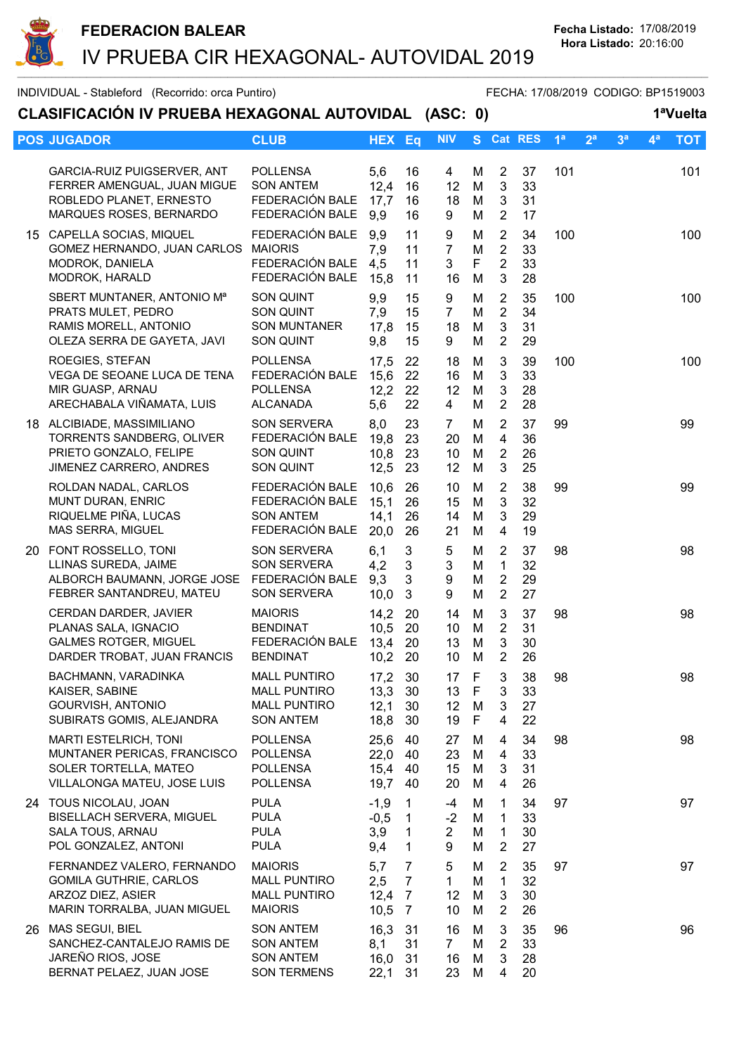

## INDIVIDUAL - Stableford (Recorrido: orca Puntiro) FECHA: 17/08/2019 CODIGO: BP1519003 CLASIFICACIÓN IV PRUEBA HEXAGONAL AUTOVIDAL (ASC: 0) 1ªVuelta POS JUGADOR CLUB CLUB HEX Eq NIV S Cat RES 1ª 2ª 3ª 4ª TOT GARCIA-RUIZ PUIGSERVER, ANT POLLENSA 5,6 16 4 M 2 37 101 101 FERRER AMENGUAL, JUAN MIGUE SON ANTEM 12,4 16 12 M 3 33<br>ROBLEDO PLANET, ERNESTO FEDERACIÓN BALE 17.7 16 18 M 3 31 ROBLEDO PLANET, ERNESTO FEDERACIÓN BALE 17.7 16 18 M MARQUES ROSES, BERNARDO FEDERACIÓN BALE 9.9 16 9 M 2 17 15 CAPELLA SOCIAS, MIQUEL FEDERACIÓN BALE 9,9 11 9 M 2 34 100 100 GOMEZ HERNANDO, JUAN CARLOS MAIORIS 7.9 11 7 M 2 33 MODROK, DANIELA FEDERACIÓN BALE 4,5 11 3 F 2 33 MODROK, HARALD FEDERACIÓN BALE 15,8 11 16 M 3 28 SBERT MUNTANER, ANTONIO M<sup>a</sup> SON QUINT  $9,9$  15 9 M 2 35 100 100<br>PRATS MULET, PEDRO SON QUINT 7,9 15 7 M 2 34 PRATS MULET, PEDRO SON QUINT 7.9 15 7 M 2 34 RAMIS MORELL, ANTONIO SON MUNTANER 17,8 15 18 M 3 31<br>OLEZA SERRA DE GAYETA, JAVI SON QUINT 9.8 15 9 M 2 29 OLEZA SERRA DE GAYETA, JAVI SON QUINT 9,8 15 9 M 2 29 ROEGIES, STEFAN POLLENSA 17,5 22 18 M 3 39 100 100 VEGA DE SEOANE LUCA DE TENA FEDERACIÓN BALE 15,6 22 16 M 3 33 MIR GUASP, ARNAU POLLENSA 12,2 22 12 M 3 28 ARECHABALA VIÑAMATA, LUIS ALCANADA 5,6 22 4 M 2 28 18 ALCIBIADE, MASSIMILIANO SON SERVERA 8,0 23 7 M 2 37 99 99 TORRENTS SANDBERG, OLIVER FEDERACIÓN BALE 19,8 23 20 M 4 36 PRIETO GONZALO, FELIPE SON QUINT 10,8 23 10 M 2 26 JIMENEZ CARRERO, ANDRES SON QUINT 12.5 23 12 M 3 25 ROLDAN NADAL, CARLOS FEDERACIÓN BALE 10,6 26 10 M 2 38 99 99 MUNT DURAN, ENRIC FEDERACIÓN BALE 15,1 26 15 M 3 32 RIQUELME PIÑA, LUCAS SON ANTEM 14,1 26 14 M 3 29<br>MAS SERRA, MIGUEL FEDERACIÓN BALE 20.0 26 21 M 4 19 MAS SERRA, MIGUEL FEDERACIÓN BALE 20,0 26 21 M 4 19 20 FONT ROSSELLO, TONI SON SERVERA 6,1 3 5 M 2 37 98 98 LLINAS SUREDA, JAIME SON SERVERA 4.2 3 3 M 1 32 ALBORCH BAUMANN, JORGE JOSE FEDERACIÓN BALE 9.3 3 9 M 2 29 FEBRER SANTANDREU, MATEU SON SERVERA 10,0 3 9 M 2 27 CERDAN DARDER, JAVIER MAIORIS 14,2 20 14 M 3 37 98 98 PLANAS SALA, IGNACIO BENDINAT 10,5 20 10 M 2 31 GALMES ROTGER, MIGUEL FEDERACIÓN BALE 13,4 20 13 M 3 30 DARDER TROBAT, JUAN FRANCIS BENDINAT 10,2 20 10 M 2 26 BACHMANN, VARADINKA MALL PUNTIRO 17,2 30 17 F 3 38 98 98 KAISER, SABINE MALL PUNTIRO 13,3 30 13 F 3 33 GOURVISH, ANTONIO MALL PUNTIRO 12,1 30 12 M 3 27 SUBIRATS GOMIS, ALEJANDRA SON ANTEM 18,8 30 19 F 4 22 MARTI ESTELRICH, TONI POLLENSA 25,6 40 27 M 4 34 98 98 MUNTANER PERICAS, FRANCISCO POLLENSA 22,0 40 23 M SOLER TORTELLA, MATEO POLLENSA 15,4 40 15 M 3 31 VILLALONGA MATEU, JOSE LUIS POLLENSA 19,7 40 20 M 4 26 24 TOUS NICOLAU, JOAN PULA -1,9 1 -4 M 1 34 97 97 BISELLACH SERVERA, MIGUEL PULA  $-0.5$  1  $-2$  M SALA TOUS, ARNAU PULA 3,9 1 2 M 1 30 POL GONZALEZ, ANTONI PULA  $9.4$  1 9 M 2 27 FERNANDEZ VALERO, FERNANDO MAIORIS 5,7 7 5 M 2 35 97 97 GOMILA GUTHRIE, CARLOS MALL PUNTIRO 2,5 7 1 M 1 32 ARZOZ DIEZ, ASIER MALL PUNTIRO 12,4 7 12 M 3 30 MARIN TORRALBA, JUAN MIGUEL MAIORIS 10.5 7 10 M 2 26 26 MAS SEGUI, BIEL SON ANTEM 16,3 31 16 M 3 35 96 96 SANCHEZ-CANTALEJO RAMIS DE SON ANTEM 8,1 31 7 M 2 33 JAREÑO RIOS, JOSE SON ANTEM 16,0 31 16 M 3 28 BERNAT PELAEZ, JUAN JOSE SON TERMENS 22,1 31 23 M 4 20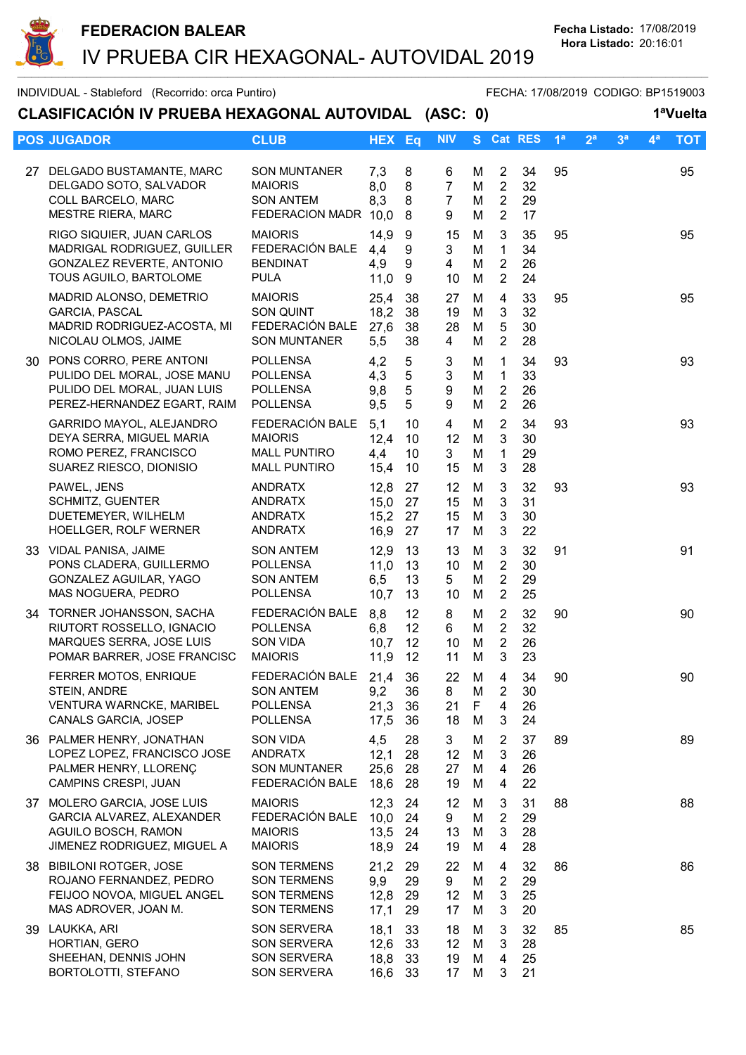

|     | INDIVIDUAL - Stableford (Recorrido: orca Puntiro)                                                                    |                                                                                      |                              |                                             |                                            |                  |                                                                   |                      |                |                |                |                | FECHA: 17/08/2019 CODIGO: BP1519003 |
|-----|----------------------------------------------------------------------------------------------------------------------|--------------------------------------------------------------------------------------|------------------------------|---------------------------------------------|--------------------------------------------|------------------|-------------------------------------------------------------------|----------------------|----------------|----------------|----------------|----------------|-------------------------------------|
|     | CLASIFICACIÓN IV PRUEBA HEXAGONAL AUTOVIDAL (ASC: 0)                                                                 |                                                                                      |                              |                                             |                                            |                  |                                                                   |                      |                |                |                |                | 1ªVuelta                            |
|     | <b>POS JUGADOR</b>                                                                                                   | <b>CLUB</b>                                                                          | <b>HEX Eq</b>                |                                             | <b>NIV</b>                                 |                  |                                                                   | S Cat RES            | 1 <sup>a</sup> | 2 <sup>a</sup> | 3 <sup>a</sup> | 4 <sup>a</sup> | <b>TOT</b>                          |
| 27  | DELGADO BUSTAMANTE, MARC<br>DELGADO SOTO, SALVADOR<br>COLL BARCELO, MARC<br><b>MESTRE RIERA, MARC</b>                | <b>SON MUNTANER</b><br><b>MAIORIS</b><br><b>SON ANTEM</b><br>FEDERACION MADR 10,0    | 7,3<br>8,0<br>8,3            | 8<br>8<br>8<br>8                            | 6<br>$\overline{7}$<br>$\overline{7}$<br>9 | М<br>M<br>M<br>М | $\overline{2}$<br>$2^{\circ}$<br>$\overline{2}$<br>$\overline{2}$ | 34<br>32<br>29<br>17 | 95             |                |                |                | 95                                  |
|     | RIGO SIQUIER, JUAN CARLOS<br>MADRIGAL RODRIGUEZ, GUILLER<br>GONZALEZ REVERTE, ANTONIO<br>TOUS AGUILO, BARTOLOME      | <b>MAIORIS</b><br>FEDERACIÓN BALE<br><b>BENDINAT</b><br><b>PULA</b>                  | 14,9<br>4,4<br>4,9<br>11,0   | 9<br>9<br>9<br>9                            | 15<br>3<br>4<br>10                         | M<br>M<br>М<br>M | 3<br>$\mathbf{1}$<br>$\overline{2}$<br>$\overline{2}$             | 35<br>34<br>26<br>24 | 95             |                |                |                | 95                                  |
|     | MADRID ALONSO, DEMETRIO<br>GARCIA, PASCAL<br>MADRID RODRIGUEZ-ACOSTA, MI<br>NICOLAU OLMOS, JAIME                     | <b>MAIORIS</b><br>SON QUINT<br>FEDERACIÓN BALE<br>SON MUNTANER                       | 25,4<br>18,2<br>27,6<br>5,5  | 38<br>38<br>38<br>38                        | 27<br>19<br>28<br>$\overline{4}$           | M<br>M<br>M<br>M | 4<br>3<br>$\sqrt{5}$<br>2                                         | 33<br>32<br>30<br>28 | 95             |                |                |                | 95                                  |
| 30  | PONS CORRO, PERE ANTONI<br>PULIDO DEL MORAL, JOSE MANU<br>PULIDO DEL MORAL, JUAN LUIS<br>PEREZ-HERNANDEZ EGART, RAIM | <b>POLLENSA</b><br><b>POLLENSA</b><br><b>POLLENSA</b><br><b>POLLENSA</b>             | 4,2<br>4,3<br>9,8<br>9,5     | $\sqrt{5}$<br>$\sqrt{5}$<br>$\sqrt{5}$<br>5 | 3<br>3<br>9<br>9                           | M<br>M<br>M<br>M | $\mathbf{1}$<br>$\mathbf{1}$<br>$\overline{2}$<br>$\overline{2}$  | 34<br>33<br>26<br>26 | 93             |                |                |                | 93                                  |
|     | GARRIDO MAYOL, ALEJANDRO<br>DEYA SERRA, MIGUEL MARIA<br>ROMO PEREZ, FRANCISCO<br>SUAREZ RIESCO, DIONISIO             | FEDERACIÓN BALE<br><b>MAIORIS</b><br><b>MALL PUNTIRO</b><br><b>MALL PUNTIRO</b>      | 5,1<br>12,4<br>4,4<br>15,4   | 10<br>10<br>10<br>10                        | 4<br>12<br>3<br>15                         | M<br>M<br>M<br>M | $\overline{2}$<br>3<br>$\mathbf{1}$<br>3                          | 34<br>30<br>29<br>28 | 93             |                |                |                | 93                                  |
|     | PAWEL, JENS<br><b>SCHMITZ, GUENTER</b><br>DUETEMEYER, WILHELM<br>HOELLGER, ROLF WERNER                               | <b>ANDRATX</b><br>ANDRATX<br>ANDRATX<br><b>ANDRATX</b>                               | 12,8<br>15,0<br>15,2<br>16,9 | 27<br>27<br>27<br>27                        | 12<br>15<br>15<br>17                       | M<br>M<br>M<br>M | 3<br>3<br>3<br>3                                                  | 32<br>31<br>30<br>22 | 93             |                |                |                | 93                                  |
|     | 33 VIDAL PANISA, JAIME<br>PONS CLADERA, GUILLERMO<br>GONZALEZ AGUILAR, YAGO<br>MAS NOGUERA, PEDRO                    | <b>SON ANTEM</b><br><b>POLLENSA</b><br><b>SON ANTEM</b><br><b>POLLENSA</b>           | 12,9<br>11,0<br>6,5<br>10,7  | 13<br>13<br>13<br>13                        | 13<br>10<br>5 <sup>5</sup><br>10           | M<br>M<br>M<br>M | 3<br>$\overline{2}$<br>$\overline{2}$<br>$\overline{2}$           | 32<br>30<br>29<br>25 | 91             |                |                |                | 91                                  |
| 34  | TORNER JOHANSSON, SACHA<br>RIUTORT ROSSELLO, IGNACIO<br>MARQUES SERRA, JOSE LUIS<br>POMAR BARRER, JOSE FRANCISC      | FEDERACIÓN BALE<br><b>POLLENSA</b><br><b>SON VIDA</b><br><b>MAIORIS</b>              | 8,8<br>6,8<br>10,7<br>11,9   | 12<br>12<br>12<br>12                        | 8<br>6<br>10<br>11                         | M<br>M<br>M<br>M | $\overline{2}$<br>$\overline{2}$<br>2<br>3                        | 32<br>32<br>26<br>23 | 90             |                |                |                | 90                                  |
|     | FERRER MOTOS, ENRIQUE<br>STEIN, ANDRE<br>VENTURA WARNCKE, MARIBEL<br>CANALS GARCIA, JOSEP                            | FEDERACIÓN BALE<br><b>SON ANTEM</b><br><b>POLLENSA</b><br><b>POLLENSA</b>            | 21,4<br>9,2<br>21,3<br>17,5  | 36<br>36<br>36<br>36                        | 22<br>8<br>21<br>18                        | M<br>M<br>F<br>M | 4<br>$\overline{2}$<br>4<br>3                                     | 34<br>30<br>26<br>24 | 90             |                |                |                | 90                                  |
|     | 36 PALMER HENRY, JONATHAN<br>LOPEZ LOPEZ, FRANCISCO JOSE<br>PALMER HENRY, LLORENÇ<br>CAMPINS CRESPI, JUAN            | SON VIDA<br><b>ANDRATX</b><br><b>SON MUNTANER</b><br>FEDERACIÓN BALE                 | 4,5<br>12,1<br>25,6<br>18,6  | 28<br>28<br>28<br>28                        | 3<br>12<br>27<br>19                        | M<br>M<br>M<br>M | $\overline{2}$<br>3<br>$\overline{4}$<br>4                        | 37<br>26<br>26<br>22 | 89             |                |                |                | 89                                  |
| 37  | MOLERO GARCIA, JOSE LUIS<br>GARCIA ALVAREZ, ALEXANDER<br>AGUILO BOSCH, RAMON<br>JIMENEZ RODRIGUEZ, MIGUEL A          | <b>MAIORIS</b><br>FEDERACIÓN BALE<br><b>MAIORIS</b><br><b>MAIORIS</b>                | 12,3<br>10,0<br>13,5<br>18,9 | 24<br>24<br>24<br>24                        | 12<br>9<br>13<br>19                        | M<br>M<br>M<br>M | 3<br>$\overline{2}$<br>3<br>4                                     | 31<br>29<br>28<br>28 | 88             |                |                |                | 88                                  |
|     | 38 BIBILONI ROTGER, JOSE<br>ROJANO FERNANDEZ, PEDRO<br>FEIJOO NOVOA, MIGUEL ANGEL<br>MAS ADROVER, JOAN M.            | <b>SON TERMENS</b><br><b>SON TERMENS</b><br><b>SON TERMENS</b><br><b>SON TERMENS</b> | 21,2<br>9,9<br>12,8<br>17,1  | 29<br>29<br>29<br>29                        | 22<br>9<br>12<br>17                        | M<br>M<br>M<br>M | $\overline{4}$<br>$\overline{2}$<br>$\mathbf{3}$<br>3             | 32<br>29<br>25<br>20 | 86             |                |                |                | 86                                  |
| 39. | LAUKKA, ARI<br>HORTIAN, GERO<br>SHEEHAN, DENNIS JOHN<br>BORTOLOTTI, STEFANO                                          | SON SERVERA<br>SON SERVERA<br><b>SON SERVERA</b><br>SON SERVERA                      | 18,1<br>12,6<br>18,8<br>16,6 | 33<br>33<br>33<br>33                        | 18<br>$12 \overline{ }$<br>19<br>17        | M<br>M<br>M<br>M | 3<br>3<br>4<br>3                                                  | 32<br>28<br>25<br>21 | 85             |                |                |                | 85                                  |